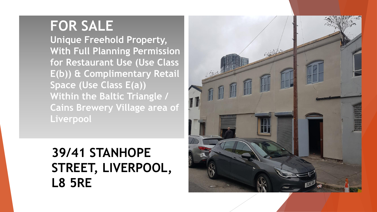# **FOR SALE**

**Unique Freehold Property, With Full Planning Permission for Restaurant Use (Use Class E(b)) & Complimentary Retail Space (Use Class E(a)) Within the Baltic Triangle / Cains Brewery Village area of Liverpool** 

# **39/41 STANHOPE STREET, LIVERPOOL, L8 5RE**

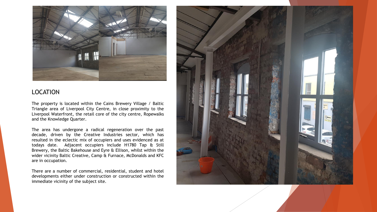

#### LOCATION

The property is located within the Cains Brewery Village / Baltic Triangle area of Liverpool City Centre, in close proximity to the Liverpool Waterfront, the retail core of the city centre, Ropewalks and the Knowledge Quarter.

The area has undergone a radical regeneration over the past decade, driven by the Creative Industries sector, which has resulted in the eclectic mix of occupiers and uses evidenced as at todays date. Adjacent occupiers include H1780 Tap & Still Brewery, the Baltic Bakehouse and Eyre & Ellison, whilst within the wider vicinity Baltic Creative, Camp & Furnace, McDonalds and KFC are in occupation.

There are a number of commercial, residential, student and hotel developments either under construction or constructed within the immediate vicinity of the subject site.

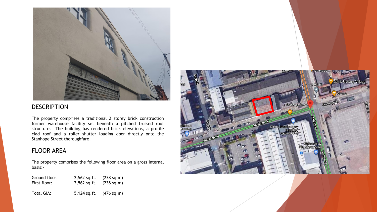

#### DESCRIPTION

The property comprises a traditional 2 storey brick construction former warehouse facility set beneath a pitched trussed roof structure. The building has rendered brick elevations, a profile clad roof and a roller shutter loading door directly onto the Stanhope Street thoroughfare.

#### FLOOR AREA

The property comprises the following floor area on a gross internal basis:-

| Ground floor: | $2,562$ sq.ft. | (238 sq.m)           |
|---------------|----------------|----------------------|
| First floor:  | 2,562 sq.ft.   | (238 sq.m)           |
| Total GIA:    | $5,124$ sq.ft. | $(476 \text{ sq.m})$ |